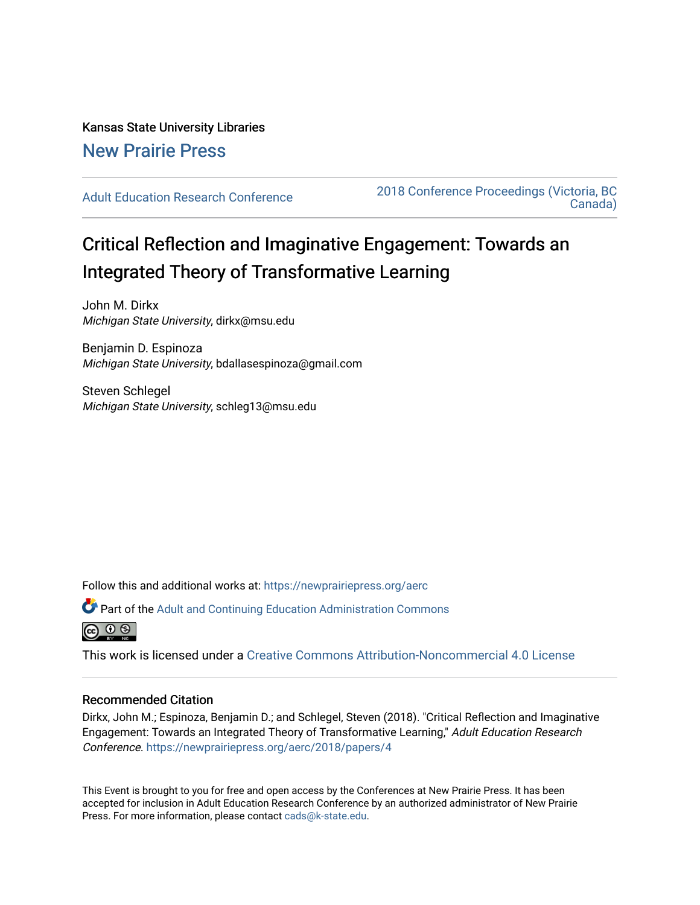# Kansas State University Libraries [New Prairie Press](https://newprairiepress.org/)

[Adult Education Research Conference](https://newprairiepress.org/aerc) [2018 Conference Proceedings \(Victoria, BC](https://newprairiepress.org/aerc/2018)  [Canada\)](https://newprairiepress.org/aerc/2018) 

# Critical Reflection and Imaginative Engagement: Towards an Integrated Theory of Transformative Learning

John M. Dirkx Michigan State University, dirkx@msu.edu

Benjamin D. Espinoza Michigan State University, bdallasespinoza@gmail.com

Steven Schlegel Michigan State University, schleg13@msu.edu

Follow this and additional works at: [https://newprairiepress.org/aerc](https://newprairiepress.org/aerc?utm_source=newprairiepress.org%2Faerc%2F2018%2Fpapers%2F4&utm_medium=PDF&utm_campaign=PDFCoverPages)

Part of the [Adult and Continuing Education Administration Commons](http://network.bepress.com/hgg/discipline/789?utm_source=newprairiepress.org%2Faerc%2F2018%2Fpapers%2F4&utm_medium=PDF&utm_campaign=PDFCoverPages)



This work is licensed under a [Creative Commons Attribution-Noncommercial 4.0 License](https://creativecommons.org/licenses/by-nc/4.0/)

# Recommended Citation

Dirkx, John M.; Espinoza, Benjamin D.; and Schlegel, Steven (2018). "Critical Reflection and Imaginative Engagement: Towards an Integrated Theory of Transformative Learning," Adult Education Research Conference.<https://newprairiepress.org/aerc/2018/papers/4>

This Event is brought to you for free and open access by the Conferences at New Prairie Press. It has been accepted for inclusion in Adult Education Research Conference by an authorized administrator of New Prairie Press. For more information, please contact [cads@k-state.edu.](mailto:cads@k-state.edu)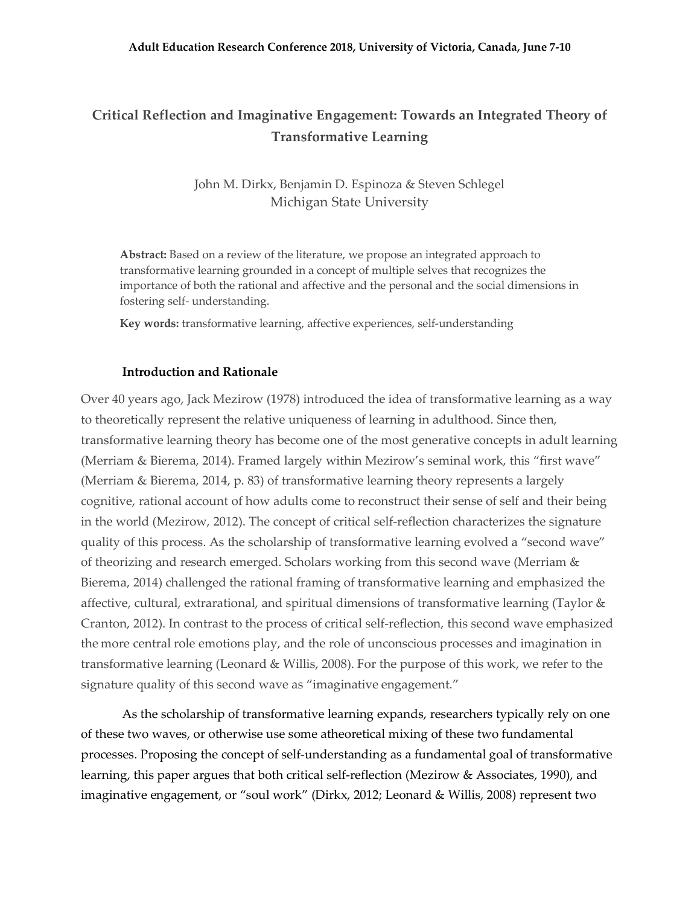# **Critical Reflection and Imaginative Engagement: Towards an Integrated Theory of Transformative Learning**

John M. Dirkx, Benjamin D. Espinoza & Steven Schlegel Michigan State University

**Abstract:** Based on a review of the literature, we propose an integrated approach to transformative learning grounded in a concept of multiple selves that recognizes the importance of both the rational and affective and the personal and the social dimensions in fostering self- understanding.

**Key words:** transformative learning, affective experiences, self-understanding

### **Introduction and Rationale**

Over 40 years ago, Jack Mezirow (1978) introduced the idea of transformative learning as a way to theoretically represent the relative uniqueness of learning in adulthood. Since then, transformative learning theory has become one of the most generative concepts in adult learning (Merriam & Bierema, 2014). Framed largely within Mezirow's seminal work, this "first wave" (Merriam & Bierema, 2014, p. 83) of transformative learning theory represents a largely cognitive, rational account of how adults come to reconstruct their sense of self and their being in the world (Mezirow, 2012). The concept of critical self-reflection characterizes the signature quality of this process. As the scholarship of transformative learning evolved a "second wave" of theorizing and research emerged. Scholars working from this second wave (Merriam & Bierema, 2014) challenged the rational framing of transformative learning and emphasized the affective, cultural, extrarational, and spiritual dimensions of transformative learning (Taylor & Cranton, 2012). In contrast to the process of critical self-reflection, this second wave emphasized the more central role emotions play, and the role of unconscious processes and imagination in transformative learning (Leonard & Willis, 2008). For the purpose of this work, we refer to the signature quality of this second wave as "imaginative engagement."

As the scholarship of transformative learning expands, researchers typically rely on one of these two waves, or otherwise use some atheoretical mixing of these two fundamental processes. Proposing the concept of self-understanding as a fundamental goal of transformative learning, this paper argues that both critical self-reflection (Mezirow & Associates, 1990), and imaginative engagement, or "soul work" (Dirkx, 2012; Leonard & Willis, 2008) represent two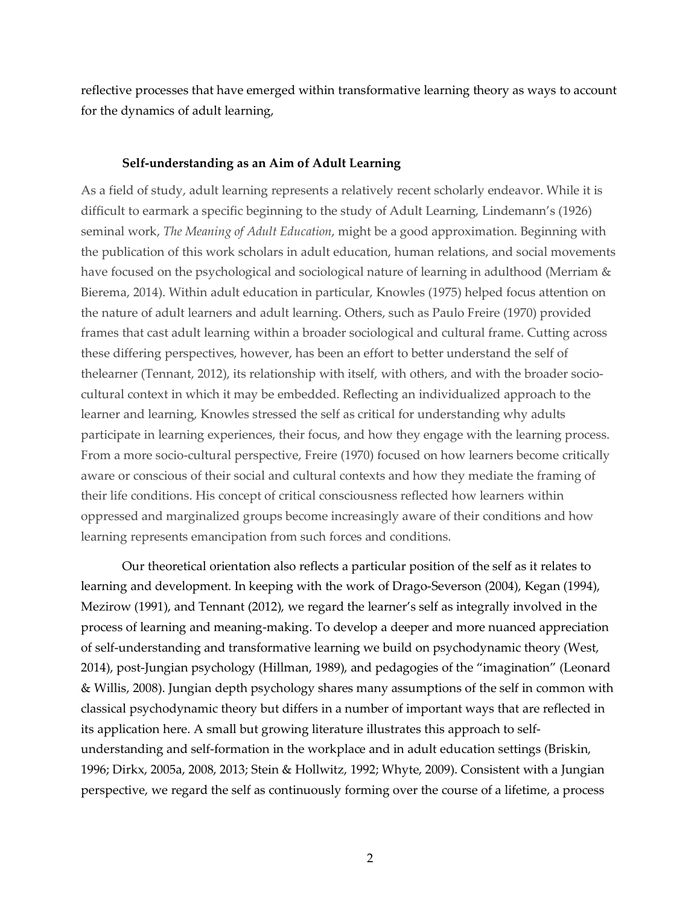reflective processes that have emerged within transformative learning theory as ways to account for the dynamics of adult learning,

## **Self-understanding as an Aim of Adult Learning**

As a field of study, adult learning represents a relatively recent scholarly endeavor. While it is difficult to earmark a specific beginning to the study of Adult Learning, Lindemann's (1926) seminal work, *The Meaning of Adult Education*, might be a good approximation. Beginning with the publication of this work scholars in adult education, human relations, and social movements have focused on the psychological and sociological nature of learning in adulthood (Merriam & Bierema, 2014). Within adult education in particular, Knowles (1975) helped focus attention on the nature of adult learners and adult learning. Others, such as Paulo Freire (1970) provided frames that cast adult learning within a broader sociological and cultural frame. Cutting across these differing perspectives, however, has been an effort to better understand the self of thelearner (Tennant, 2012), its relationship with itself, with others, and with the broader sociocultural context in which it may be embedded. Reflecting an individualized approach to the learner and learning, Knowles stressed the self as critical for understanding why adults participate in learning experiences, their focus, and how they engage with the learning process. From a more socio-cultural perspective, Freire (1970) focused on how learners become critically aware or conscious of their social and cultural contexts and how they mediate the framing of their life conditions. His concept of critical consciousness reflected how learners within oppressed and marginalized groups become increasingly aware of their conditions and how learning represents emancipation from such forces and conditions.

Our theoretical orientation also reflects a particular position of the self as it relates to learning and development. In keeping with the work of Drago-Severson (2004), Kegan (1994), Mezirow (1991), and Tennant (2012), we regard the learner's self as integrally involved in the process of learning and meaning-making. To develop a deeper and more nuanced appreciation of self-understanding and transformative learning we build on psychodynamic theory (West, 2014), post-Jungian psychology (Hillman, 1989), and pedagogies of the "imagination" (Leonard & Willis, 2008). Jungian depth psychology shares many assumptions of the self in common with classical psychodynamic theory but differs in a number of important ways that are reflected in its application here. A small but growing literature illustrates this approach to selfunderstanding and self-formation in the workplace and in adult education settings (Briskin, 1996; Dirkx, 2005a, 2008, 2013; Stein & Hollwitz, 1992; Whyte, 2009). Consistent with a Jungian perspective, we regard the self as continuously forming over the course of a lifetime, a process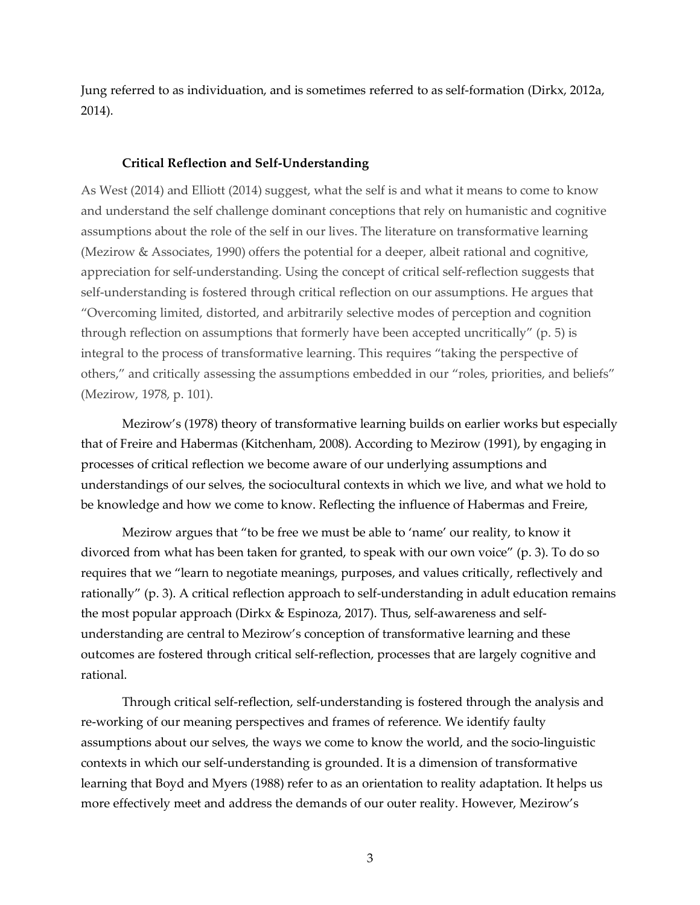Jung referred to as individuation, and is sometimes referred to as self-formation (Dirkx, 2012a, 2014).

## **Critical Reflection and Self-Understanding**

As West (2014) and Elliott (2014) suggest, what the self is and what it means to come to know and understand the self challenge dominant conceptions that rely on humanistic and cognitive assumptions about the role of the self in our lives. The literature on transformative learning (Mezirow & Associates, 1990) offers the potential for a deeper, albeit rational and cognitive, appreciation for self-understanding. Using the concept of critical self-reflection suggests that self-understanding is fostered through critical reflection on our assumptions. He argues that "Overcoming limited, distorted, and arbitrarily selective modes of perception and cognition through reflection on assumptions that formerly have been accepted uncritically" (p. 5) is integral to the process of transformative learning. This requires "taking the perspective of others," and critically assessing the assumptions embedded in our "roles, priorities, and beliefs" (Mezirow, 1978, p. 101).

Mezirow's (1978) theory of transformative learning builds on earlier works but especially that of Freire and Habermas (Kitchenham, 2008). According to Mezirow (1991), by engaging in processes of critical reflection we become aware of our underlying assumptions and understandings of our selves, the sociocultural contexts in which we live, and what we hold to be knowledge and how we come to know. Reflecting the influence of Habermas and Freire,

Mezirow argues that "to be free we must be able to 'name' our reality, to know it divorced from what has been taken for granted, to speak with our own voice" (p. 3). To do so requires that we "learn to negotiate meanings, purposes, and values critically, reflectively and rationally" (p. 3). A critical reflection approach to self-understanding in adult education remains the most popular approach (Dirkx & Espinoza, 2017). Thus, self-awareness and selfunderstanding are central to Mezirow's conception of transformative learning and these outcomes are fostered through critical self-reflection, processes that are largely cognitive and rational.

Through critical self-reflection, self-understanding is fostered through the analysis and re-working of our meaning perspectives and frames of reference. We identify faulty assumptions about our selves, the ways we come to know the world, and the socio-linguistic contexts in which our self-understanding is grounded. It is a dimension of transformative learning that Boyd and Myers (1988) refer to as an orientation to reality adaptation. It helps us more effectively meet and address the demands of our outer reality. However, Mezirow's

3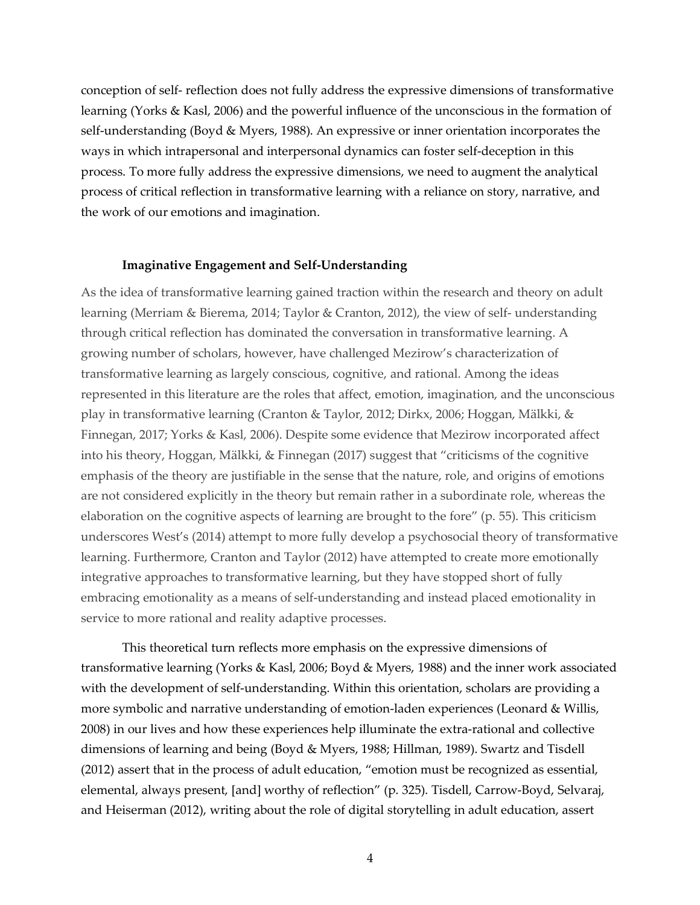conception of self- reflection does not fully address the expressive dimensions of transformative learning (Yorks & Kasl, 2006) and the powerful influence of the unconscious in the formation of self-understanding (Boyd & Myers, 1988). An expressive or inner orientation incorporates the ways in which intrapersonal and interpersonal dynamics can foster self-deception in this process. To more fully address the expressive dimensions, we need to augment the analytical process of critical reflection in transformative learning with a reliance on story, narrative, and the work of our emotions and imagination.

#### **Imaginative Engagement and Self-Understanding**

As the idea of transformative learning gained traction within the research and theory on adult learning (Merriam & Bierema, 2014; Taylor & Cranton, 2012), the view of self- understanding through critical reflection has dominated the conversation in transformative learning. A growing number of scholars, however, have challenged Mezirow's characterization of transformative learning as largely conscious, cognitive, and rational. Among the ideas represented in this literature are the roles that affect, emotion, imagination, and the unconscious play in transformative learning (Cranton & Taylor, 2012; Dirkx, 2006; Hoggan, Mälkki, & Finnegan, 2017; Yorks & Kasl, 2006). Despite some evidence that Mezirow incorporated affect into his theory, Hoggan, Mälkki, & Finnegan (2017) suggest that "criticisms of the cognitive emphasis of the theory are justifiable in the sense that the nature, role, and origins of emotions are not considered explicitly in the theory but remain rather in a subordinate role, whereas the elaboration on the cognitive aspects of learning are brought to the fore" (p. 55). This criticism underscores West's (2014) attempt to more fully develop a psychosocial theory of transformative learning. Furthermore, Cranton and Taylor (2012) have attempted to create more emotionally integrative approaches to transformative learning, but they have stopped short of fully embracing emotionality as a means of self-understanding and instead placed emotionality in service to more rational and reality adaptive processes.

This theoretical turn reflects more emphasis on the expressive dimensions of transformative learning (Yorks & Kasl, 2006; Boyd & Myers, 1988) and the inner work associated with the development of self-understanding. Within this orientation, scholars are providing a more symbolic and narrative understanding of emotion-laden experiences (Leonard & Willis, 2008) in our lives and how these experiences help illuminate the extra-rational and collective dimensions of learning and being (Boyd & Myers, 1988; Hillman, 1989). Swartz and Tisdell (2012) assert that in the process of adult education, "emotion must be recognized as essential, elemental, always present, [and] worthy of reflection" (p. 325). Tisdell, Carrow-Boyd, Selvaraj, and Heiserman (2012), writing about the role of digital storytelling in adult education, assert

4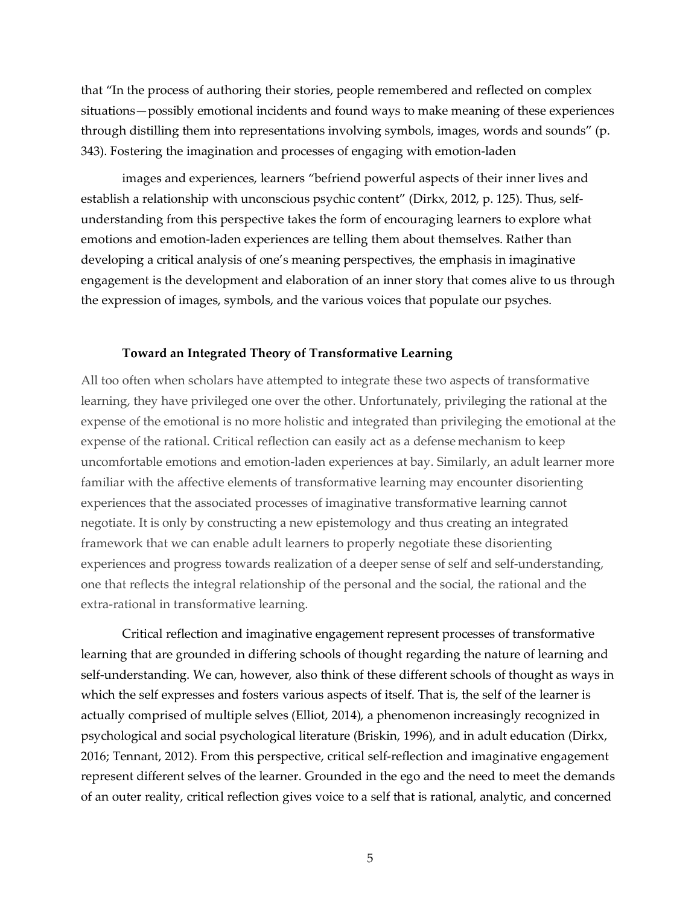that "In the process of authoring their stories, people remembered and reflected on complex situations—possibly emotional incidents and found ways to make meaning of these experiences through distilling them into representations involving symbols, images, words and sounds" (p. 343). Fostering the imagination and processes of engaging with emotion-laden

images and experiences, learners "befriend powerful aspects of their inner lives and establish a relationship with unconscious psychic content" (Dirkx, 2012, p. 125). Thus, selfunderstanding from this perspective takes the form of encouraging learners to explore what emotions and emotion-laden experiences are telling them about themselves. Rather than developing a critical analysis of one's meaning perspectives, the emphasis in imaginative engagement is the development and elaboration of an inner story that comes alive to us through the expression of images, symbols, and the various voices that populate our psyches.

#### **Toward an Integrated Theory of Transformative Learning**

All too often when scholars have attempted to integrate these two aspects of transformative learning, they have privileged one over the other. Unfortunately, privileging the rational at the expense of the emotional is no more holistic and integrated than privileging the emotional at the expense of the rational. Critical reflection can easily act as a defense mechanism to keep uncomfortable emotions and emotion-laden experiences at bay. Similarly, an adult learner more familiar with the affective elements of transformative learning may encounter disorienting experiences that the associated processes of imaginative transformative learning cannot negotiate. It is only by constructing a new epistemology and thus creating an integrated framework that we can enable adult learners to properly negotiate these disorienting experiences and progress towards realization of a deeper sense of self and self-understanding, one that reflects the integral relationship of the personal and the social, the rational and the extra-rational in transformative learning.

Critical reflection and imaginative engagement represent processes of transformative learning that are grounded in differing schools of thought regarding the nature of learning and self-understanding. We can, however, also think of these different schools of thought as ways in which the self expresses and fosters various aspects of itself. That is, the self of the learner is actually comprised of multiple selves (Elliot, 2014), a phenomenon increasingly recognized in psychological and social psychological literature (Briskin, 1996), and in adult education (Dirkx, 2016; Tennant, 2012). From this perspective, critical self-reflection and imaginative engagement represent different selves of the learner. Grounded in the ego and the need to meet the demands of an outer reality, critical reflection gives voice to a self that is rational, analytic, and concerned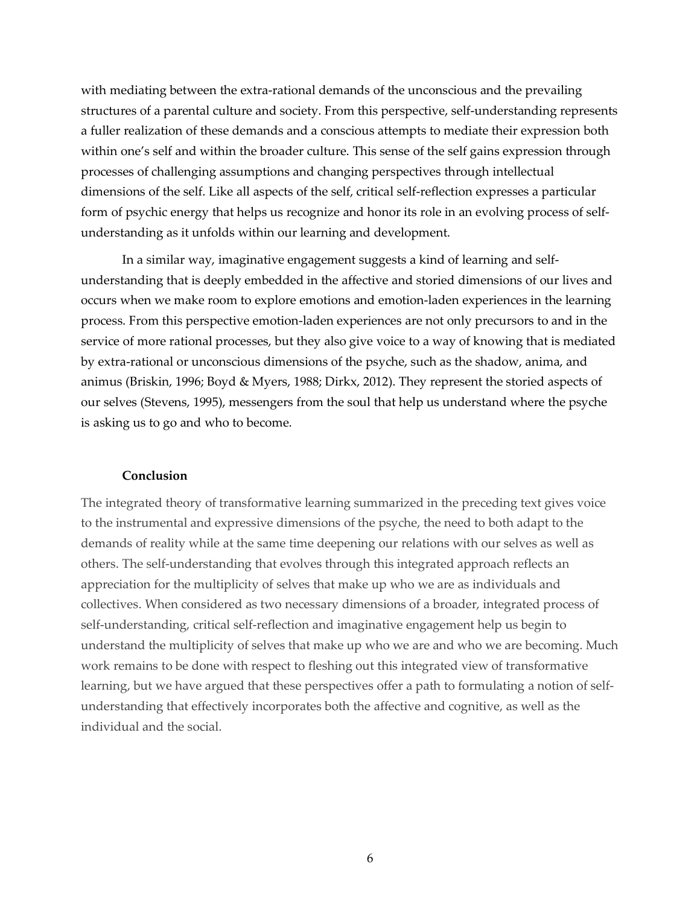with mediating between the extra-rational demands of the unconscious and the prevailing structures of a parental culture and society. From this perspective, self-understanding represents a fuller realization of these demands and a conscious attempts to mediate their expression both within one's self and within the broader culture. This sense of the self gains expression through processes of challenging assumptions and changing perspectives through intellectual dimensions of the self. Like all aspects of the self, critical self-reflection expresses a particular form of psychic energy that helps us recognize and honor its role in an evolving process of selfunderstanding as it unfolds within our learning and development.

In a similar way, imaginative engagement suggests a kind of learning and selfunderstanding that is deeply embedded in the affective and storied dimensions of our lives and occurs when we make room to explore emotions and emotion-laden experiences in the learning process. From this perspective emotion-laden experiences are not only precursors to and in the service of more rational processes, but they also give voice to a way of knowing that is mediated by extra-rational or unconscious dimensions of the psyche, such as the shadow, anima, and animus (Briskin, 1996; Boyd & Myers, 1988; Dirkx, 2012). They represent the storied aspects of our selves (Stevens, 1995), messengers from the soul that help us understand where the psyche is asking us to go and who to become.

#### **Conclusion**

The integrated theory of transformative learning summarized in the preceding text gives voice to the instrumental and expressive dimensions of the psyche, the need to both adapt to the demands of reality while at the same time deepening our relations with our selves as well as others. The self-understanding that evolves through this integrated approach reflects an appreciation for the multiplicity of selves that make up who we are as individuals and collectives. When considered as two necessary dimensions of a broader, integrated process of self-understanding, critical self-reflection and imaginative engagement help us begin to understand the multiplicity of selves that make up who we are and who we are becoming. Much work remains to be done with respect to fleshing out this integrated view of transformative learning, but we have argued that these perspectives offer a path to formulating a notion of selfunderstanding that effectively incorporates both the affective and cognitive, as well as the individual and the social.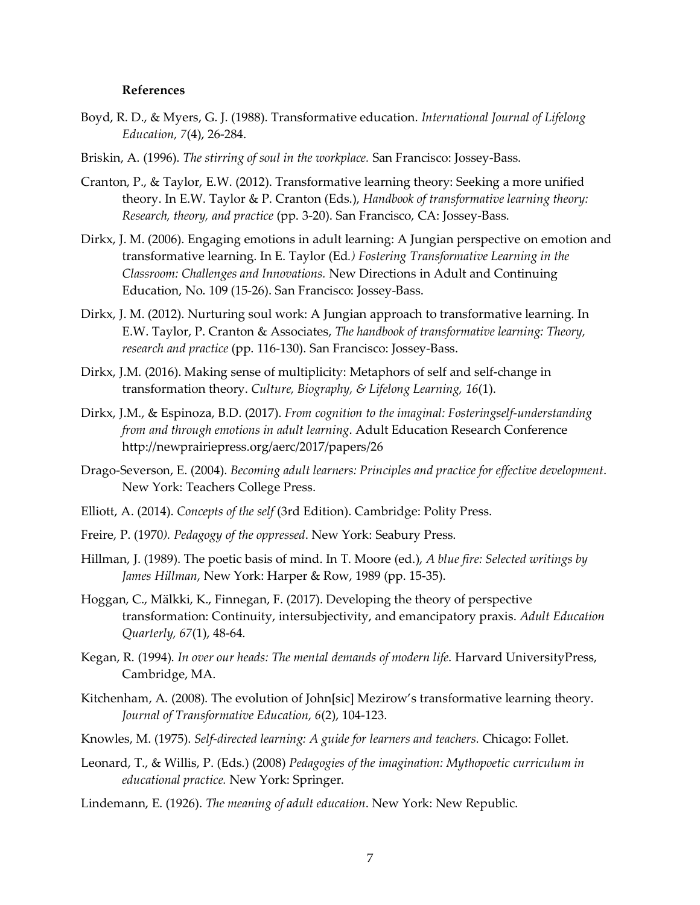#### **References**

- Boyd, R. D., & Myers, G. J. (1988). Transformative education. *International Journal of Lifelong Education, 7*(4), 26-284.
- Briskin, A. (1996). *The stirring of soul in the workplace.* San Francisco: Jossey-Bass.
- Cranton, P., & Taylor, E.W. (2012). Transformative learning theory: Seeking a more unified theory. In E.W. Taylor & P. Cranton (Eds.), *Handbook of transformative learning theory: Research, theory, and practice* (pp. 3-20). San Francisco, CA: Jossey-Bass.
- Dirkx, J. M. (2006). Engaging emotions in adult learning: A Jungian perspective on emotion and transformative learning. In E. Taylor (Ed*.) Fostering Transformative Learning in the Classroom: Challenges and Innovations.* New Directions in Adult and Continuing Education, No. 109 (15-26). San Francisco: Jossey-Bass.
- Dirkx, J. M. (2012). Nurturing soul work: A Jungian approach to transformative learning. In E.W. Taylor, P. Cranton & Associates, *The handbook of transformative learning: Theory, research and practice* (pp. 116-130). San Francisco: Jossey-Bass.
- Dirkx, J.M. (2016). Making sense of multiplicity: Metaphors of self and self-change in transformation theory. *Culture, Biography, & Lifelong Learning, 16*(1).
- Dirkx, J.M., & Espinoza, B.D. (2017). *From cognition to the imaginal: Fosteringself-understanding from and through emotions in adult learning*. Adult Education Research Conference http://newprairiepress.org/aerc/2017/papers/26
- Drago-Severson, E. (2004). *Becoming adult learners: Principles and practice for effective development*. New York: Teachers College Press.
- Elliott, A. (2014). *Concepts of the self* (3rd Edition). Cambridge: Polity Press.
- Freire, P. (1970*). Pedagogy of the oppressed*. New York: Seabury Press.
- Hillman, J. (1989). The poetic basis of mind. In T. Moore (ed.), *A blue fire: Selected writings by James Hillman*, New York: Harper & Row, 1989 (pp. 15-35).
- Hoggan, C., Mälkki, K., Finnegan, F. (2017). Developing the theory of perspective transformation: Continuity, intersubjectivity, and emancipatory praxis. *Adult Education Quarterly, 67*(1), 48-64.
- Kegan, R. (1994). *In over our heads: The mental demands of modern life*. Harvard UniversityPress, Cambridge, MA.
- Kitchenham, A. (2008). The evolution of John[sic] Mezirow's transformative learning theory. *Journal of Transformative Education, 6*(2), 104-123.
- Knowles, M. (1975). *Self-directed learning: A guide for learners and teachers.* Chicago: Follet.
- Leonard, T., & Willis, P. (Eds.) (2008) *Pedagogies of the imagination: Mythopoetic curriculum in educational practice.* New York: Springer.
- Lindemann, E. (1926). *The meaning of adult education*. New York: New Republic.